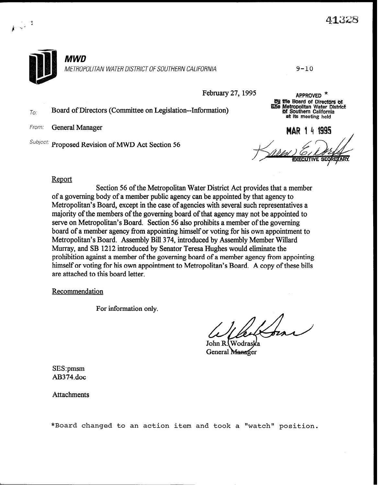

February 27,1995

To. Board of Directors (Committee on Legislation--Information)

From: General Manager

Subject: Proposed Revision of MWD Act Section 56

**By the Board of Directors of** @2i0 Metropolitan Water Distridf at! Southern California at its meeting held

**APPROVED** 

MAR 1 4 1995 **SECRETARY** 

### Report

Section 56 of the Metropolitan Water District Act provides that a member of a governing body of a member public agency can be appointed by that agency to Metropolitan's Board, except in the case of agencies with several such representatives a majority of the members of the governing board of that agency may not be appointed to serve on Metropolitan's Board. Section 56 also prohibits a member of the governing board of a member agency from appointing himself or voting for his own appointment to Metropolitan's Board. Assembly Bill 374, introduced by Assembly Member Willard Murray, and SB 1212 introduced by Senator Teresa Hughes would eliminate the prohibition against a member of the governing board of a member agency from appointing himself or voting for his own appointment to Metropolitan's Board. A copy of these bills are attached to this board letter.

### Recommendation

For information only.

John R. Wodraska<br>John R. Wodraska<br>General M<del>ana</del>ger

SES:pmsm AB374.doc

Attachments

\*Board changed to an action item and took a "watch" position.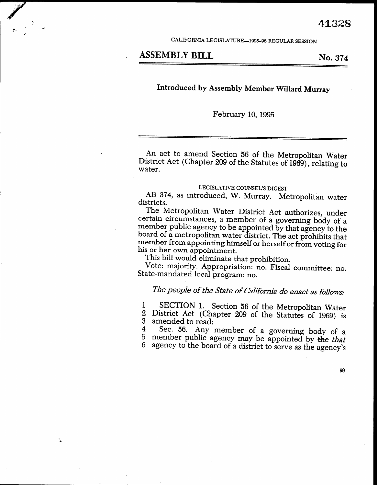CALIFORNIA LEGISLATURE-1995-96 REGULAR SESSION

# ASSEMBLY BILL No. 374

# Introduced by Assembly Member Willard Murray

February 10, 1995

An act to amend Section 56 of the Metropolitan Water District Act (Chapter 209 of the Statutes of 1969), relating to water.

#### LEGISLATIVE COUXSEL'S DIGEST

AB 374, as introduced, W. Murray. Metropolitan water districts.

The Metropolitan Water District Act authorizes, under certain circumstances, a member of a governing body of a member public agency to be appointed by that agency to the board of a metropolitan water district. The act prohibits that member from appointing himself or herself or from voting for his or her own appointment.

This bill would eliminate that prohibition.

Vote: majority. Appropriation: no. Fiscal committee: no. State-mandated local program: no.

## The people of the State of California do enact as follows:

1 SECTION 1. Section 56 of the Metropolitan Water 2 District Act (Chapter 209 of the Statutes of 1969) is

3 amended to read:

4 Sec. 56. Any member of a governing body of a 5 member public agency may be appointed by the that agency to the board of a district to serve as the agency's

99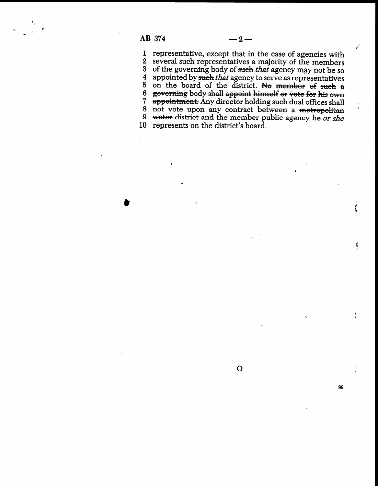# $AB\ 374$   $-2$

', c c

 $\mathcal{L}^{\pm}$ 

 $\frac{1}{2}$ 

c .

,

99

 $\sim$  . The set of  $\sim$  . The set of  $\sim$ 

1 representative, except that in the case of agencies with 2 several such representatives a majority of the members 3 of the governing body of such that agency may not be so 4 appointed by such that agency to serve as representatives 5 on the board of the district. Ne member of such a 6 governing body shall appoint himself or vote for his own 7 appointment. Any director holding such dual offices shall 8 not vote upon any contract between a metropolitan  $9$  water district and the member public agency be or she 10 represents on the district's board.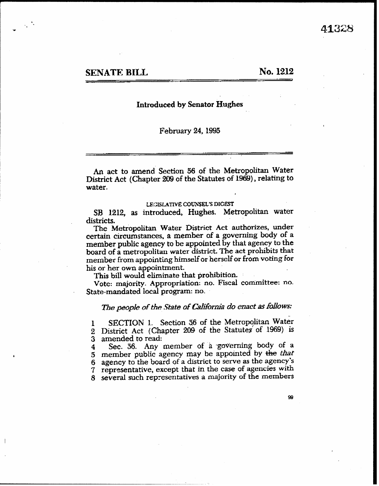.

#### Introduced by Senator Hughes

#### February 24,199s

An act to amend Section 56 of the Metropolitan Water District Act (Chapter 209 of the Statutes of 1969), relating to water.

#### LEGISLATIVE COUNSEL'S DICEST

.

SB 1212, as introduced, Hughes. Metropolitan water districts.

The Metropolitan Water District Act authorizes, under certain circumstances, a member of a governing body of a member public agency to be appointed by that agency to the board of a metropolitan water district. The act prohibits that member from appointing himself or herself or from voting for his or her own appointment.

This bill would eliminate that prohibition.

Vote: majority. Appropriation: no. Fiscal committee: no. State-mandated local program: no.

### The people of the State of California do enact as follows:

SECTION 1. Section 56 of the Metropolitan Water  $\mathbf{I}$ District Act (Chapter 209 of the Statutes of 1969) is  $\overline{2}$ amended to read:  $3<sup>1</sup>$ 

Sec. 56. Any member of a governing body of a  $\boldsymbol{4}$ 5 member public agency may be appointed by the that agency to the board of a district to serve as the agency's representative, except that in the case of agencies with  $\tau$ several such representatives a majority of the members

99